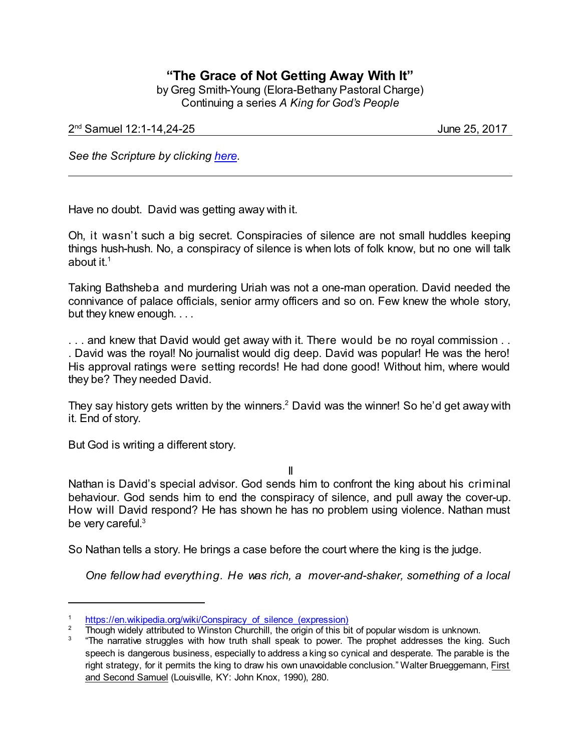## **"The Grace of Not Getting Away With It"**

by Greg Smith-Young (Elora-Bethany Pastoral Charge) Continuing a series *A King for God's People*

2 nd Samuel 12:1-14,24-25 June 25, 2017

*See the Scripture by clicking [here](https://www.biblegateway.com/passage/?search=2+Samuel+12%3A1-14&version=NIV).*

Have no doubt. David was getting away with it.

Oh, it wasn't such a big secret. Conspiracies of silence are not small huddles keeping things hush-hush. No, a conspiracy of silence is when lots of folk know, but no one will talk about it. $^{\rm 1}$ 

Taking Bathsheba and murdering Uriah was not a one-man operation. David needed the connivance of palace officials, senior army officers and so on. Few knew the whole story, but they knew enough. . . .

... and knew that David would get away with it. There would be no royal commission .. . David was the royal! No journalist would dig deep. David was popular! He was the hero! His approval ratings were setting records! He had done good! Without him, where would they be? They needed David.

They say history gets written by the winners.<sup>2</sup> David was the winner! So he'd get away with it. End of story.

But God is writing a different story.

II

Nathan is David's special advisor. God sends him to confront the king about his criminal behaviour. God sends him to end the conspiracy of silence, and pull away the cover-up. How will David respond? He has shown he has no problem using violence. Nathan must be very careful.<sup>3</sup>

So Nathan tells a story. He brings a case before the court where the king is the judge.

*One fellow had everything. He was rich, a mover-and-shaker, something of a local*

[https://en.wikipedia.org/wiki/Conspiracy\\_of\\_silence\\_\(expression\)](https://en.wikipedia.org/wiki/Conspiracy_of_silence_(expression))

<sup>2</sup> Though widely attributed to Winston Churchill, the origin of this bit of popular wisdom is unknown.

<sup>3</sup> "The narrative struggles with how truth shall speak to power. The prophet addresses the king. Such speech is dangerous business, especially to address a king so cynical and desperate. The parable is the right strategy, for it permits the king to draw his own unavoidable conclusion." Walter Brueggemann, First and Second Samuel (Louisville, KY: John Knox, 1990), 280.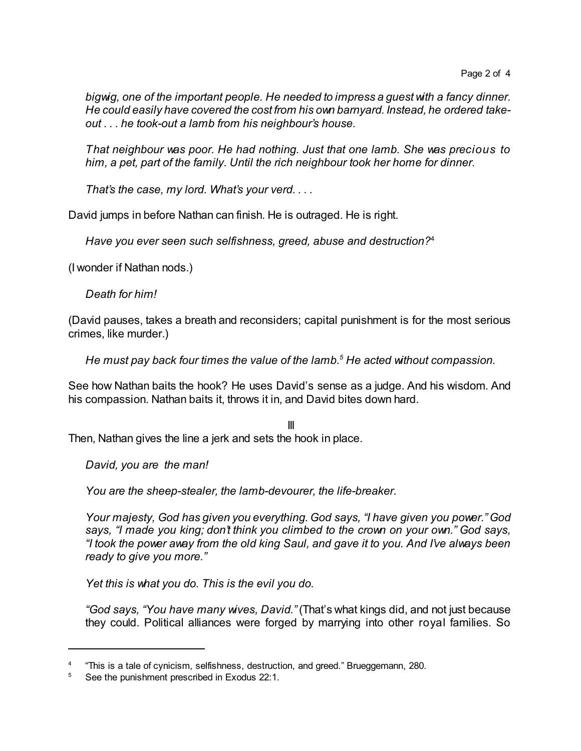*bigwig, one of the important people. He needed to impress a guest with a fancy dinner. He could easily have covered the cost from his own barnyard. Instead, he ordered takeout . . . he took-out a lamb from his neighbour's house.*

*That neighbour was poor. He had nothing. Just that one lamb. She was precious to him, a pet, part of the family. Until the rich neighbour took her home for dinner.*

*That's the case, my lord. What's your verd. . . .*

David jumps in before Nathan can finish. He is outraged. He is right.

*Have you ever seen such selfishness, greed, abuse and destruction?*<sup>4</sup>

(I wonder if Nathan nods.)

*Death for him!*

(David pauses, takes a breath and reconsiders; capital punishment is for the most serious crimes, like murder.)

*He must pay back four times the value of the lamb.<sup>5</sup> He acted without compassion.*

See how Nathan baits the hook? He uses David's sense as a judge. And his wisdom. And his compassion. Nathan baits it, throws it in, and David bites down hard.

III Then, Nathan gives the line a jerk and sets the hook in place.

*David, you are the man!*

*You are the sheep-stealer, the lamb-devourer, the life-breaker.*

*Your majesty, God has given you everything. God says, "I have given you power." God says, "I made you king; don't think you climbed to the crown on your own." God says, "I took the power away from the old king Saul, and gave it to you. And I've always been ready to give you more."*

*Yet this is what you do. This is the evil you do.*

*"God says, "You have many wives, David."* (That's what kings did, and not just because they could. Political alliances were forged by marrying into other royal families. So

<sup>4</sup> "This is a tale of cynicism, selfishness, destruction, and greed." Brueggemann, 280.

<sup>&</sup>lt;sup>5</sup> See the punishment prescribed in Exodus 22:1.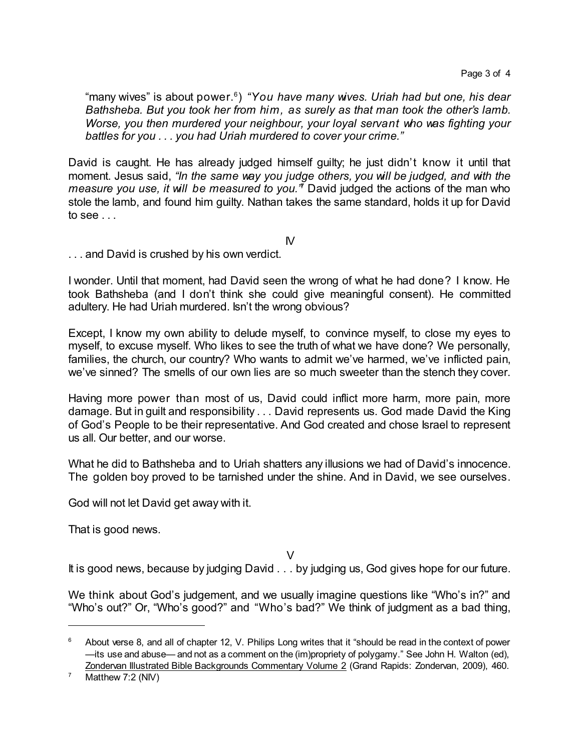"many wives" is about power. 6 ) *"You have many wives. Uriah had but one, his dear Bathsheba. But you took her from him, as surely as that man took the other's lamb. Worse, you then murdered your neighbour, your loyal servant who was fighting your battles for you . . . you had Uriah murdered to cover your crime."*

David is caught. He has already judged himself guilty; he just didn't know it until that moment. Jesus said, *"In the same way you judge others, you will be judged, and with the measure you use, it will be measured to you."* <sup>7</sup> David judged the actions of the man who stole the lamb, and found him guilty. Nathan takes the same standard, holds it up for David to see . . .

 $\mathsf{N}$ 

. . . and David is crushed by his own verdict.

I wonder. Until that moment, had David seen the wrong of what he had done? I know. He took Bathsheba (and I don't think she could give meaningful consent). He committed adultery. He had Uriah murdered. Isn't the wrong obvious?

Except, I know my own ability to delude myself, to convince myself, to close my eyes to myself, to excuse myself. Who likes to see the truth of what we have done? We personally, families, the church, our country? Who wants to admit we've harmed, we've inflicted pain, we've sinned? The smells of our own lies are so much sweeter than the stench they cover.

Having more power than most of us, David could inflict more harm, more pain, more damage. But in guilt and responsibility . . . David represents us. God made David the King of God's People to be their representative. And God created and chose Israel to represent us all. Our better, and our worse.

What he did to Bathsheba and to Uriah shatters any illusions we had of David's innocence. The golden boy proved to be tarnished under the shine. And in David, we see ourselves.

God will not let David get away with it.

That is good news.

 $\vee$ 

It is good news, because by judging David . . . by judging us, God gives hope for our future.

We think about God's judgement, and we usually imagine questions like "Who's in?" and "Who's out?" Or, "Who's good?" and "Who's bad?" We think of judgment as a bad thing,

<sup>6</sup> About verse 8, and all of chapter 12, V. Philips Long writes that it "should be read in the context of power —its use and abuse— and not as a comment on the (im)propriety of polygamy." See John H. Walton (ed), Zondervan Illustrated Bible Backgrounds Commentary Volume 2 (Grand Rapids: Zondervan, 2009), 460.

 $7$  Matthew 7:2 (NIV)